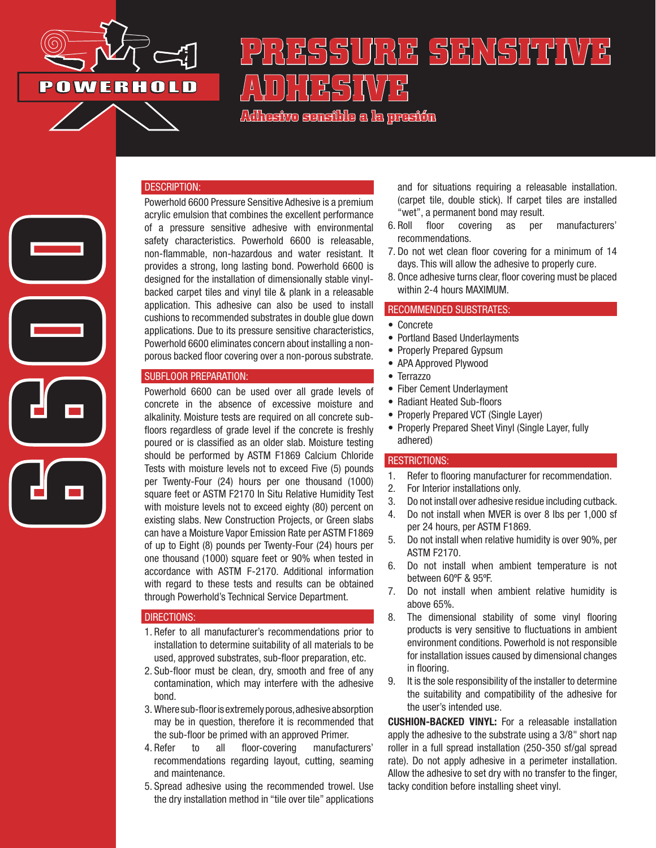

**6600**

# **PRESSURE SENSITIVE ADHESESISION**

**Adhesivo sensible a la presión**

## DESCRIPTION:

Powerhold 6600 Pressure Sensitive Adhesive is a premium acrylic emulsion that combines the excellent performance of a pressure sensitive adhesive with environmental safety characteristics. Powerhold 6600 is releasable, non-flammable, non-hazardous and water resistant. It provides a strong, long lasting bond. Powerhold 6600 is designed for the installation of dimensionally stable vinylbacked carpet tiles and vinyl tile & plank in a releasable application. This adhesive can also be used to install cushions to recommended substrates in double glue down applications. Due to its pressure sensitive characteristics, Powerhold 6600 eliminates concern about installing a nonporous backed floor covering over a non-porous substrate.

## SUBFLOOR PREPARATION:

Powerhold 6600 can be used over all grade levels of concrete in the absence of excessive moisture and alkalinity. Moisture tests are required on all concrete subfloors regardless of grade level if the concrete is freshly poured or is classified as an older slab. Moisture testing should be performed by ASTM F1869 Calcium Chloride Tests with moisture levels not to exceed Five (5) pounds per Twenty-Four (24) hours per one thousand (1000) square feet or ASTM F2170 In Situ Relative Humidity Test with moisture levels not to exceed eighty (80) percent on existing slabs. New Construction Projects, or Green slabs can have a Moisture Vapor Emission Rate per ASTM F1869 of up to Eight (8) pounds per Twenty-Four (24) hours per one thousand (1000) square feet or 90% when tested in accordance with ASTM F-2170. Additional information with regard to these tests and results can be obtained through Powerhold's Technical Service Department.

#### DIRECTIONS:

- 1. Refer to all manufacturer's recommendations prior to installation to determine suitability of all materials to be used, approved substrates, sub-floor preparation, etc.
- 2. Sub-floor must be clean, dry, smooth and free of any contamination, which may interfere with the adhesive bond.
- 3. Where sub-floor is extremely porous, adhesive absorption may be in question, therefore it is recommended that the sub-floor be primed with an approved Primer.
- 4. Refer to all floor-covering manufacturers' recommendations regarding layout, cutting, seaming and maintenance.
- 5. Spread adhesive using the recommended trowel. Use the dry installation method in "tile over tile" applications

and for situations requiring a releasable installation. (carpet tile, double stick). If carpet tiles are installed "wet", a permanent bond may result.

- 6. Roll floor covering as per manufacturers' recommendations.
- 7. Do not wet clean floor covering for a minimum of 14 days. This will allow the adhesive to properly cure.
- 8. Once adhesive turns clear, floor covering must be placed within 2-4 hours MAXIMUM.

## RECOMMENDED SUBSTRATES:

- Concrete
- Portland Based Underlayments
- Properly Prepared Gypsum
- APA Approved Plywood
- Terrazzo
- Fiber Cement Underlayment
- Radiant Heated Sub-floors
- Properly Prepared VCT (Single Layer)
- Properly Prepared Sheet Vinyl (Single Layer, fully adhered)

#### RESTRICTIONS:

- 1. Refer to flooring manufacturer for recommendation.
- 2. For Interior installations only.
- 3. Do not install over adhesive residue including cutback.
- 4. Do not install when MVER is over 8 lbs per 1,000 sf per 24 hours, per ASTM F1869.
- 5. Do not install when relative humidity is over 90%, per ASTM F2170.
- 6. Do not install when ambient temperature is not between 60ºF & 95ºF.
- 7. Do not install when ambient relative humidity is above 65%.
- 8. The dimensional stability of some vinyl flooring products is very sensitive to fluctuations in ambient environment conditions. Powerhold is not responsible for installation issues caused by dimensional changes in flooring.
- 9. It is the sole responsibility of the installer to determine the suitability and compatibility of the adhesive for the user's intended use.

CUSHION-BACKED VINYL: For a releasable installation apply the adhesive to the substrate using a 3/8" short nap roller in a full spread installation (250-350 sf/gal spread rate). Do not apply adhesive in a perimeter installation. Allow the adhesive to set dry with no transfer to the finger, tacky condition before installing sheet vinyl.